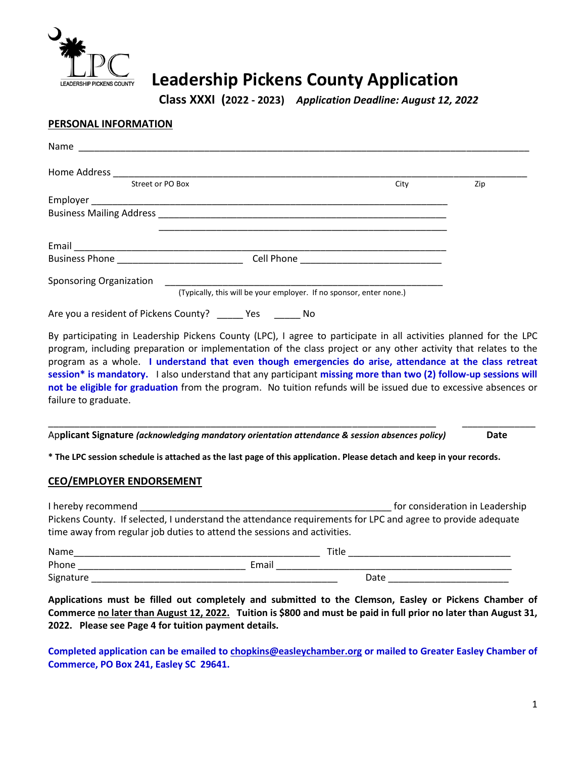

# **Leadership Pickens County Application**

**Class XXXI (2022 - 2023)** *Application Deadline: August 12, 2022*

#### **PERSONAL INFORMATION**

| Street or PO Box                                                                                                      | City | Zip |
|-----------------------------------------------------------------------------------------------------------------------|------|-----|
|                                                                                                                       |      |     |
|                                                                                                                       |      |     |
| <u> 1999 - Johann John Stone, meny ambany amin'ny fivondronan-kaominin'i Paris (no ben'ny faritr'i Amerika dia Ka</u> |      |     |
|                                                                                                                       |      |     |
| Business Phone _______________________________                                                                        |      |     |
| <b>Sponsoring Organization</b>                                                                                        |      |     |
| (Typically, this will be your employer. If no sponsor, enter none.)                                                   |      |     |
| Are you a resident of Pickens County? _______ Yes ________ No                                                         |      |     |

By participating in Leadership Pickens County (LPC), I agree to participate in all activities planned for the LPC program, including preparation or implementation of the class project or any other activity that relates to the program as a whole. **I understand that even though emergencies do arise, attendance at the class retreat session\* is mandatory.** I also understand that any participant **missing more than two (2) follow-up sessions will not be eligible for graduation** from the program. No tuition refunds will be issued due to excessive absences or failure to graduate.

\_\_\_\_\_\_\_\_\_\_\_\_\_\_\_\_\_\_\_\_\_\_\_\_\_\_\_\_\_\_\_\_\_\_\_\_\_\_\_\_\_\_\_\_\_\_\_\_\_\_\_\_\_\_\_\_\_\_\_\_\_\_\_\_\_\_\_\_\_\_\_\_\_\_ \_\_\_\_\_\_\_\_\_\_\_\_\_\_

Ap**plicant Signature** *(acknowledging mandatory orientation attendance & session absences policy)* **Date**

**\* The LPC session schedule is attached as the last page of this application. Please detach and keep in your records.** 

#### **CEO/EMPLOYER ENDORSEMENT**

| I hereby recommend                                                       |       | for consideration in Leadership                                                                             |  |
|--------------------------------------------------------------------------|-------|-------------------------------------------------------------------------------------------------------------|--|
|                                                                          |       | Pickens County. If selected, I understand the attendance requirements for LPC and agree to provide adequate |  |
| time away from regular job duties to attend the sessions and activities. |       |                                                                                                             |  |
| <b>Name</b>                                                              |       | Title                                                                                                       |  |
| Phone                                                                    | Email |                                                                                                             |  |
| Signature                                                                |       | Date                                                                                                        |  |

**Applications must be filled out completely and submitted to the Clemson, Easley or Pickens Chamber of Commerce no later than August 12, 2022. Tuition is \$800 and must be paid in full prior no later than August 31, 2022. Please see Page 4 for tuition payment details.**

**Completed application can be emailed t[o chopkins@easleychamber.org](mailto:cturner@easleychamber.org) or mailed to Greater Easley Chamber of Commerce, PO Box 241, Easley SC 29641.**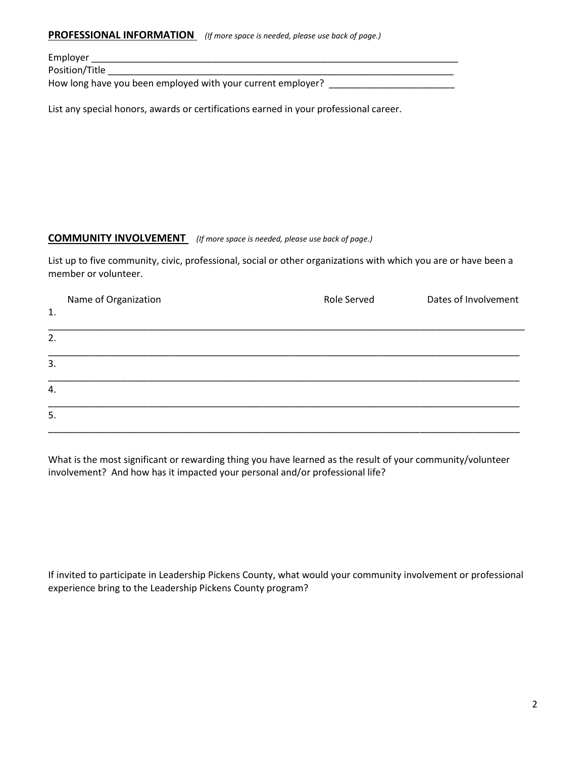#### **PROFESSIONAL INFORMATION** *(If more space is needed, please use back of page.)*

Employer \_\_\_\_\_\_\_\_\_\_\_\_\_\_\_\_\_\_\_\_\_\_\_\_\_\_\_\_\_\_\_\_\_\_\_\_\_\_\_\_\_\_\_\_\_\_\_\_\_\_\_\_\_\_\_\_\_\_\_\_\_\_\_\_\_\_\_\_\_\_

Position/Title \_\_\_\_\_\_\_\_\_\_\_\_\_\_\_\_\_\_\_\_\_\_\_\_\_\_\_\_\_\_\_\_\_\_\_\_\_\_\_\_\_\_\_\_\_\_\_\_\_\_\_\_\_\_\_\_\_\_\_\_\_\_\_\_\_\_

How long have you been employed with your current employer? \_\_\_\_\_\_\_\_\_\_\_\_\_\_\_\_\_\_\_\_\_

List any special honors, awards or certifications earned in your professional career.

#### **COMMUNITY INVOLVEMENT** *(If more space is needed, please use back of page.)*

List up to five community, civic, professional, social or other organizations with which you are or have been a member or volunteer.

| 1. | Name of Organization | Role Served | Dates of Involvement |
|----|----------------------|-------------|----------------------|
| 2. |                      |             |                      |
| 3. |                      |             |                      |
| 4. |                      |             |                      |
| 5. |                      |             |                      |

What is the most significant or rewarding thing you have learned as the result of your community/volunteer involvement? And how has it impacted your personal and/or professional life?

If invited to participate in Leadership Pickens County, what would your community involvement or professional experience bring to the Leadership Pickens County program?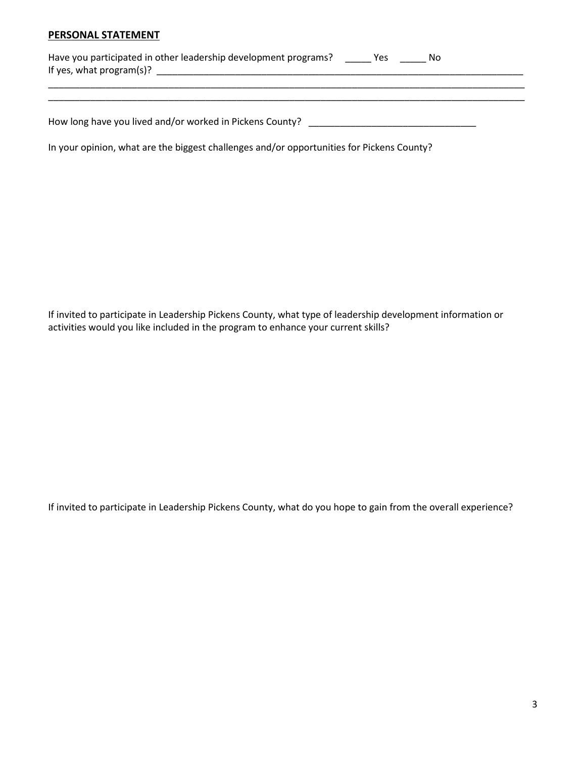#### **PERSONAL STATEMENT**

| Have you participated in other leadership development programs? | Νo |  |
|-----------------------------------------------------------------|----|--|
| If yes, what program(s)?                                        |    |  |
|                                                                 |    |  |

\_\_\_\_\_\_\_\_\_\_\_\_\_\_\_\_\_\_\_\_\_\_\_\_\_\_\_\_\_\_\_\_\_\_\_\_\_\_\_\_\_\_\_\_\_\_\_\_\_\_\_\_\_\_\_\_\_\_\_\_\_\_\_\_\_\_\_\_\_\_\_\_\_\_\_\_\_\_\_\_\_\_\_\_\_\_\_\_\_\_\_

How long have you lived and/or worked in Pickens County? \_\_\_\_\_\_\_\_\_\_\_\_\_\_\_\_\_\_\_\_\_\_\_

In your opinion, what are the biggest challenges and/or opportunities for Pickens County?

If invited to participate in Leadership Pickens County, what type of leadership development information or activities would you like included in the program to enhance your current skills?

If invited to participate in Leadership Pickens County, what do you hope to gain from the overall experience?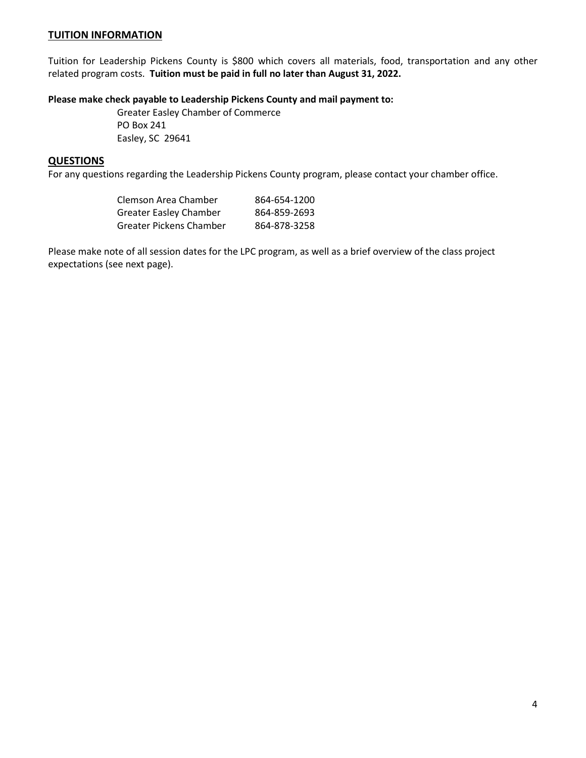### **TUITION INFORMATION**

Tuition for Leadership Pickens County is \$800 which covers all materials, food, transportation and any other related program costs. **Tuition must be paid in full no later than August 31, 2022.**

## **Please make check payable to Leadership Pickens County and mail payment to:**

Greater Easley Chamber of Commerce PO Box 241 Easley, SC 29641

#### **QUESTIONS**

For any questions regarding the Leadership Pickens County program, please contact your chamber office.

| Clemson Area Chamber          | 864-654-1200 |
|-------------------------------|--------------|
| <b>Greater Easley Chamber</b> | 864-859-2693 |
| Greater Pickens Chamber       | 864-878-3258 |

Please make note of all session dates for the LPC program, as well as a brief overview of the class project expectations (see next page).